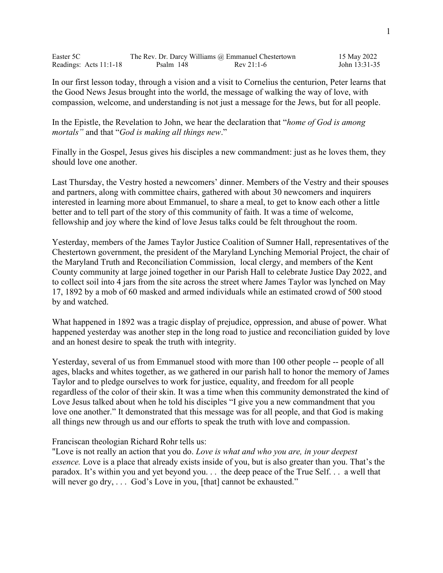| Easter 5C              |           | The Rev. Dr. Darcy Williams @ Emmanuel Chestertown | 15 May 2022   |
|------------------------|-----------|----------------------------------------------------|---------------|
| Readings: Acts 11:1-18 | Psalm 148 | $Rev 21:1-6$                                       | John 13:31-35 |

In our first lesson today, through a vision and a visit to Cornelius the centurion, Peter learns that the Good News Jesus brought into the world, the message of walking the way of love, with compassion, welcome, and understanding is not just a message for the Jews, but for all people.

In the Epistle, the Revelation to John, we hear the declaration that "*home of God is among mortals"* and that "*God is making all things new*."

Finally in the Gospel, Jesus gives his disciples a new commandment: just as he loves them, they should love one another.

Last Thursday, the Vestry hosted a newcomers' dinner. Members of the Vestry and their spouses and partners, along with committee chairs, gathered with about 30 newcomers and inquirers interested in learning more about Emmanuel, to share a meal, to get to know each other a little better and to tell part of the story of this community of faith. It was a time of welcome, fellowship and joy where the kind of love Jesus talks could be felt throughout the room.

Yesterday, members of the James Taylor Justice Coalition of Sumner Hall, representatives of the Chestertown government, the president of the Maryland Lynching Memorial Project, the chair of the Maryland Truth and Reconciliation Commission, local clergy, and members of the Kent County community at large joined together in our Parish Hall to celebrate Justice Day 2022, and to collect soil into 4 jars from the site across the street where James Taylor was lynched on May 17, 1892 by a mob of 60 masked and armed individuals while an estimated crowd of 500 stood by and watched.

What happened in 1892 was a tragic display of prejudice, oppression, and abuse of power. What happened yesterday was another step in the long road to justice and reconciliation guided by love and an honest desire to speak the truth with integrity.

Yesterday, several of us from Emmanuel stood with more than 100 other people -- people of all ages, blacks and whites together, as we gathered in our parish hall to honor the memory of James Taylor and to pledge ourselves to work for justice, equality, and freedom for all people regardless of the color of their skin. It was a time when this community demonstrated the kind of Love Jesus talked about when he told his disciples "I give you a new commandment that you love one another." It demonstrated that this message was for all people, and that God is making all things new through us and our efforts to speak the truth with love and compassion.

Franciscan theologian Richard Rohr tells us:

"Love is not really an action that you do. *Love is what and who you are, in your deepest essence.* Love is a place that already exists inside of you, but is also greater than you. That's the paradox. It's within you and yet beyond you. . . the deep peace of the True Self. . . a well that will never go dry, ... God's Love in you, [that] cannot be exhausted."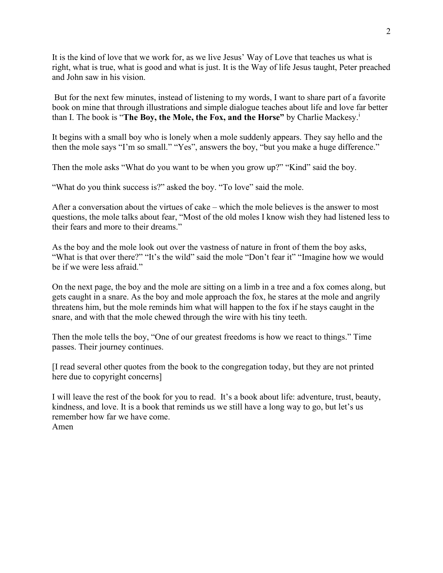It is the kind of love that we work for, as we live Jesus' Way of Love that teaches us what is right, what is true, what is good and what is just. It is the Way of life Jesus taught, Peter preached and John saw in his vision.

But for the next few minutes, instead of listening to my words, I want to share part of a favorite book on mine that through illustrations and simple dialogue teaches about life and love far better than I. The book is "**The Boy, the Mole, the Fox, and the Horse"** by Charlie Mackesy.<sup>i</sup>

It begins with a small boy who is lonely when a mole suddenly appears. They say hello and the then the mole says "I'm so small." "Yes", answers the boy, "but you make a huge difference."

Then the mole asks "What do you want to be when you grow up?" "Kind" said the boy.

"What do you think success is?" asked the boy. "To love" said the mole.

After a conversation about the virtues of cake – which the mole believes is the answer to most questions, the mole talks about fear, "Most of the old moles I know wish they had listened less to their fears and more to their dreams."

As the boy and the mole look out over the vastness of nature in front of them the boy asks, "What is that over there?" "It's the wild" said the mole "Don't fear it" "Imagine how we would be if we were less afraid."

On the next page, the boy and the mole are sitting on a limb in a tree and a fox comes along, but gets caught in a snare. As the boy and mole approach the fox, he stares at the mole and angrily threatens him, but the mole reminds him what will happen to the fox if he stays caught in the snare, and with that the mole chewed through the wire with his tiny teeth.

Then the mole tells the boy, "One of our greatest freedoms is how we react to things." Time passes. Their journey continues.

[I read several other quotes from the book to the congregation today, but they are not printed here due to copyright concerns]

I will leave the rest of the book for you to read. It's a book about life: adventure, trust, beauty, kindness, and love. It is a book that reminds us we still have a long way to go, but let's us remember how far we have come. Amen